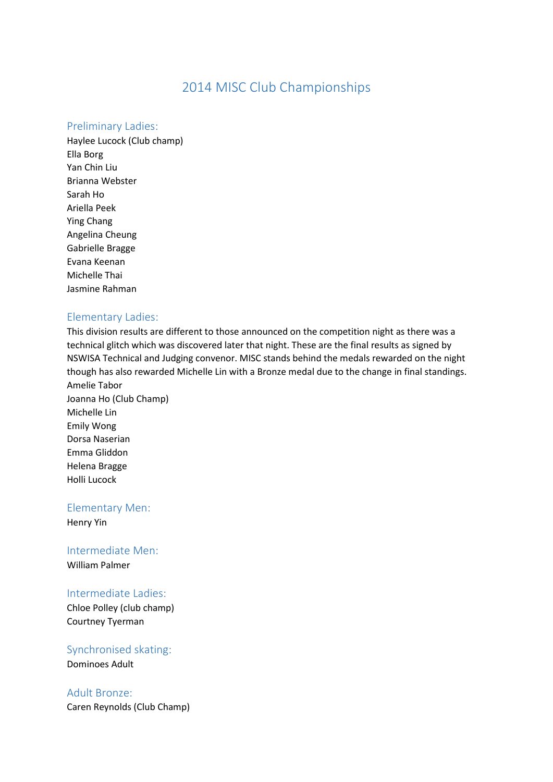# 2014 MISC Club Championships

### Preliminary Ladies:

Haylee Lucock (Club champ) Ella Borg Yan Chin Liu Brianna Webster Sarah Ho Ariella Peek Ying Chang Angelina Cheung Gabrielle Bragge Evana Keenan Michelle Thai Jasmine Rahman

# Elementary Ladies:

This division results are different to those announced on the competition night as there was a technical glitch which was discovered later that night. These are the final results as signed by NSWISA Technical and Judging convenor. MISC stands behind the medals rewarded on the night though has also rewarded Michelle Lin with a Bronze medal due to the change in final standings. Amelie Tabor

Joanna Ho (Club Champ) Michelle Lin Emily Wong Dorsa Naserian Emma Gliddon Helena Bragge Holli Lucock

# Elementary Men:

Henry Yin

# Intermediate Men: William Palmer

# Intermediate Ladies:

Chloe Polley (club champ) Courtney Tyerman

# Synchronised skating: Dominoes Adult

# Adult Bronze:

Caren Reynolds (Club Champ)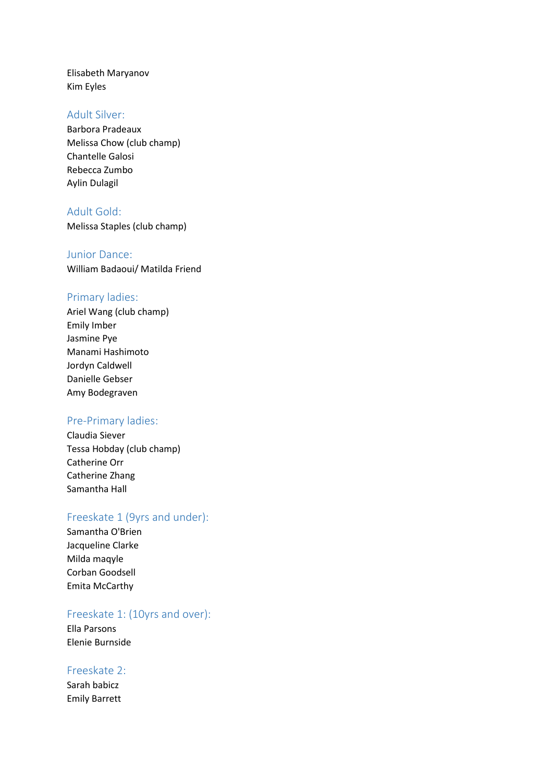Elisabeth Maryanov Kim Eyles

# Adult Silver:

Barbora Pradeaux Melissa Chow (club champ) Chantelle Galosi Rebecca Zumbo Aylin Dulagil

# Adult Gold:

Melissa Staples (club champ)

### Junior Dance:

William Badaoui/ Matilda Friend

### Primary ladies:

Ariel Wang (club champ) Emily Imber Jasmine Pye Manami Hashimoto Jordyn Caldwell Danielle Gebser Amy Bodegraven

# Pre-Primary ladies:

Claudia Siever Tessa Hobday (club champ) Catherine Orr Catherine Zhang Samantha Hall

# Freeskate 1 (9yrs and under):

Samantha O'Brien Jacqueline Clarke Milda maqyle Corban Goodsell Emita McCarthy

# Freeskate 1: (10yrs and over):

Ella Parsons Elenie Burnside

# Freeskate 2:

Sarah babicz Emily Barrett